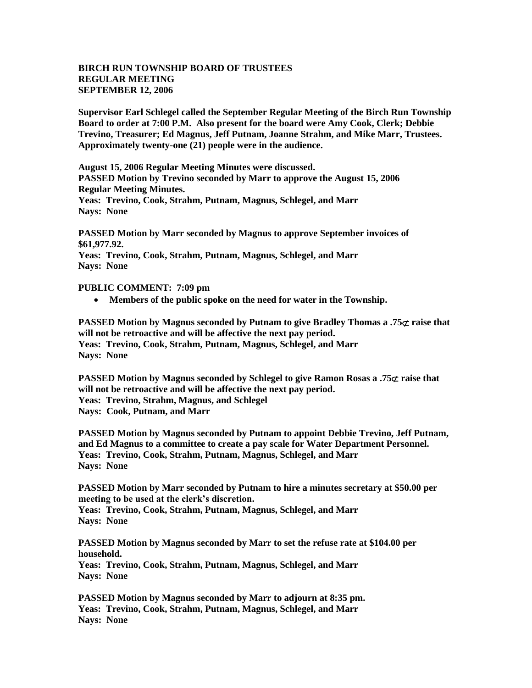## **BIRCH RUN TOWNSHIP BOARD OF TRUSTEES REGULAR MEETING SEPTEMBER 12, 2006**

**Supervisor Earl Schlegel called the September Regular Meeting of the Birch Run Township Board to order at 7:00 P.M. Also present for the board were Amy Cook, Clerk; Debbie Trevino, Treasurer; Ed Magnus, Jeff Putnam, Joanne Strahm, and Mike Marr, Trustees. Approximately twenty-one (21) people were in the audience.** 

**August 15, 2006 Regular Meeting Minutes were discussed. PASSED Motion by Trevino seconded by Marr to approve the August 15, 2006 Regular Meeting Minutes.**

**Yeas: Trevino, Cook, Strahm, Putnam, Magnus, Schlegel, and Marr Nays: None**

**PASSED Motion by Marr seconded by Magnus to approve September invoices of \$61,977.92.**

**Yeas: Trevino, Cook, Strahm, Putnam, Magnus, Schlegel, and Marr Nays: None**

## **PUBLIC COMMENT: 7:09 pm**

**Members of the public spoke on the need for water in the Township.**

**PASSED** Motion by Magnus seconded by Putnam to give Bradley Thomas a .75 $\sigma$  raise that **will not be retroactive and will be affective the next pay period. Yeas: Trevino, Cook, Strahm, Putnam, Magnus, Schlegel, and Marr Nays: None**

**PASSED Motion by Magnus seconded by Schlegel to give Ramon Rosas a .75** $\sigma$  **raise that will not be retroactive and will be affective the next pay period. Yeas: Trevino, Strahm, Magnus, and Schlegel Nays: Cook, Putnam, and Marr**

**PASSED Motion by Magnus seconded by Putnam to appoint Debbie Trevino, Jeff Putnam, and Ed Magnus to a committee to create a pay scale for Water Department Personnel. Yeas: Trevino, Cook, Strahm, Putnam, Magnus, Schlegel, and Marr Nays: None**

**PASSED Motion by Marr seconded by Putnam to hire a minutes secretary at \$50.00 per meeting to be used at the clerk's discretion. Yeas: Trevino, Cook, Strahm, Putnam, Magnus, Schlegel, and Marr Nays: None**

**PASSED Motion by Magnus seconded by Marr to set the refuse rate at \$104.00 per household. Yeas: Trevino, Cook, Strahm, Putnam, Magnus, Schlegel, and Marr Nays: None**

**PASSED Motion by Magnus seconded by Marr to adjourn at 8:35 pm. Yeas: Trevino, Cook, Strahm, Putnam, Magnus, Schlegel, and Marr Nays: None**